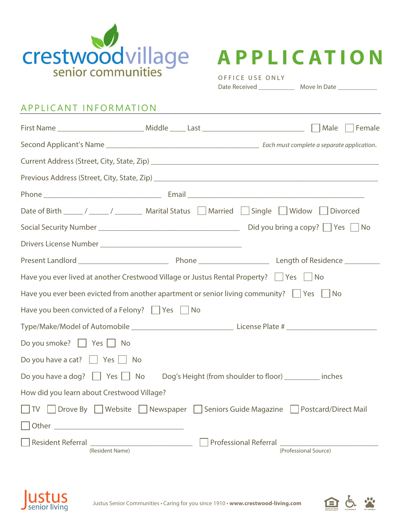



OFFICE USE ONLY Date Received \_\_\_\_\_\_\_\_\_\_\_ Move In Date \_\_\_\_\_\_\_\_\_\_\_\_

## APPLICANT INFORMATION

|                                                                                                    |           |  |                                                |                             | Female |
|----------------------------------------------------------------------------------------------------|-----------|--|------------------------------------------------|-----------------------------|--------|
|                                                                                                    |           |  |                                                |                             |        |
|                                                                                                    |           |  |                                                |                             |        |
|                                                                                                    |           |  |                                                |                             |        |
|                                                                                                    |           |  |                                                |                             |        |
|                                                                                                    |           |  |                                                |                             |        |
|                                                                                                    |           |  |                                                |                             |        |
|                                                                                                    |           |  |                                                |                             |        |
|                                                                                                    |           |  |                                                |                             |        |
| Have you ever lived at another Crestwood Village or Justus Rental Property?   Yes   No             |           |  |                                                |                             |        |
| Have you ever been evicted from another apartment or senior living community? $\Box$ Yes $\Box$ No |           |  |                                                |                             |        |
| Have you been convicted of a Felony? $\Box$ Yes $\Box$ No                                          |           |  |                                                |                             |        |
|                                                                                                    |           |  |                                                |                             |        |
| Do you smoke?     Yes     No                                                                       |           |  |                                                |                             |        |
| Do you have a cat? $\Box$ Yes $\Box$ No                                                            |           |  |                                                |                             |        |
| Do you have a dog? $\Box$ Yes $\Box$ No<br>Dog's Height (from shoulder to floor) ________ inches   |           |  |                                                |                             |        |
| How did you learn about Crestwood Village?                                                         |           |  |                                                |                             |        |
| Drove By   Website<br>TV                                                                           | Newspaper |  | Seniors Guide Magazine                         | <b>Postcard/Direct Mail</b> |        |
| Other <b>Districts Container and Container Container Container Container Container</b>             |           |  |                                                |                             |        |
| <b>Resident Referral</b><br>(Resident Name)                                                        |           |  | Professional Referral<br>(Professional Source) |                             |        |